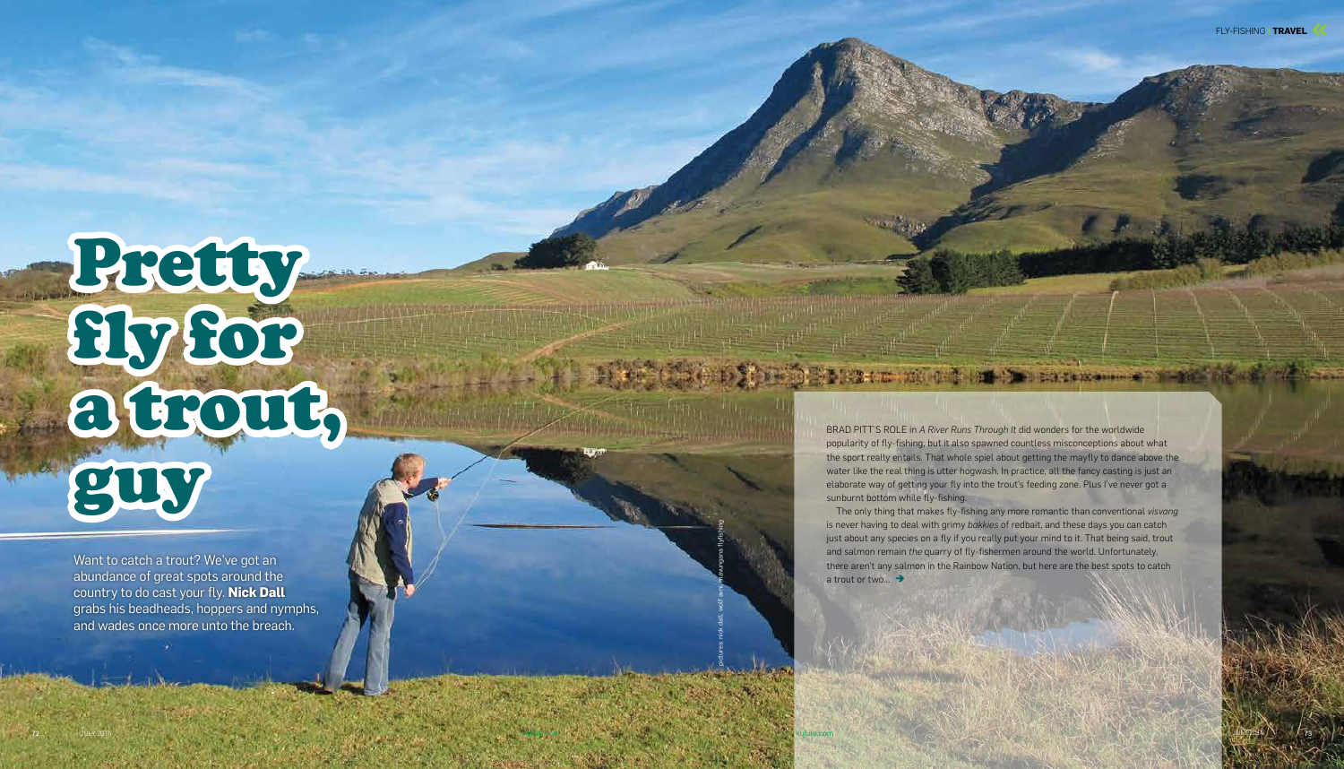pictures: nick dall, wolf avni, mavungana flyfishing

kulula.com kulula.com

73

# Pretty fly for a trout, guy

Want to catch a trout? We've got an abundance of great spots around the country to do cast your fly. **Nick Dall** grabs his beadheads, hoppers and nymphs, and wades once more unto the breach.

The only thing that makes fly-fishing any more romantic than conventional *visvang* is never having to deal with grimy *bakkies* of redbait, and these days you can catch just about any species on a fly if you really put your mind to it. That being said, trout and salmon remain *the* quarry of fly-fishermen around the world. Unfortunately, there aren't any salmon in the Rainbow Nation, but here are the best spots to catch a trout or two... →

BRAD PITT'S ROLE in *A River Runs Through It* did wonders for the worldwide popularity of fly-fishing, but it also spawned countless misconceptions about what the sport really entails. That whole spiel about getting the mayfly to dance above the water like the real thing is utter hogwash. In practice, all the fancy casting is just an elaborate way of getting your fly into the trout's feeding zone. Plus I've never got a sunburnt bottom while fly-fishing.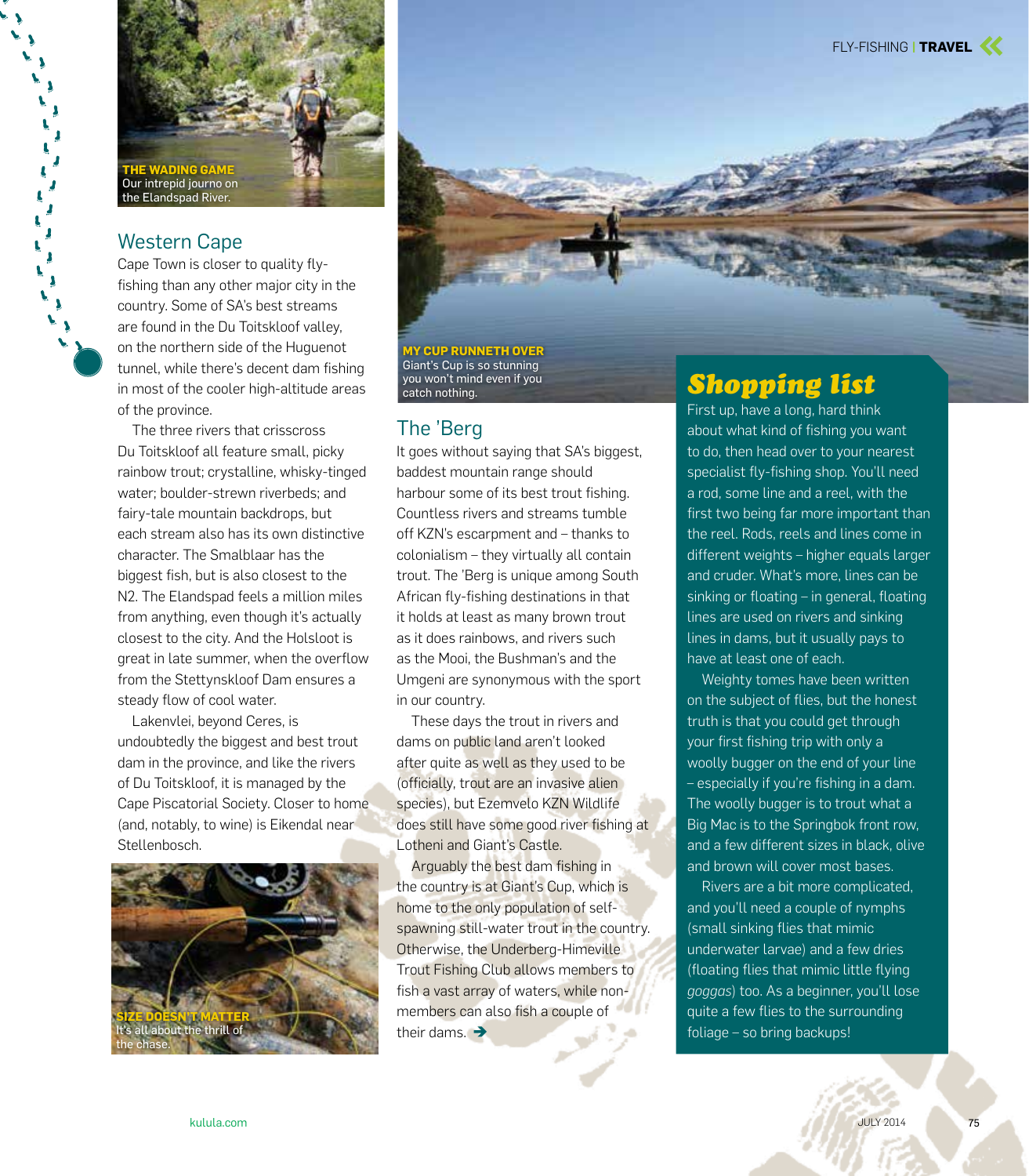

### Western Cape

Ĺ Ĵ  $\mathbf{r}$ Ï  $\mathbf{I}$ 

> Cape Town is closer to quality flyfishing than any other major city in the country. Some of SA's best streams are found in the Du Toitskloof valley, on the northern side of the Huguenot tunnel, while there's decent dam fishing in most of the cooler high-altitude areas of the province.

The three rivers that crisscross Du Toitskloof all feature small, picky rainbow trout; crystalline, whisky-tinged water; boulder-strewn riverbeds; and fairy-tale mountain backdrops, but each stream also has its own distinctive character. The Smalblaar has the biggest fish, but is also closest to the N2. The Elandspad feels a million miles from anything, even though it's actually closest to the city. And the Holsloot is great in late summer, when the overflow from the Stettynskloof Dam ensures a steady flow of cool water.

Lakenvlei, beyond Ceres, is undoubtedly the biggest and best trout dam in the province, and like the rivers of Du Toitskloof, it is managed by the Cape Piscatorial Society. Closer to home (and, notably, to wine) is Eikendal near Stellenbosch.





**MY CUP RUNNETH OVER** Giant's Cup is so stunning you won't mind even if you .<br>catch nothing.

#### The 'Berg

It goes without saying that SA's biggest, baddest mountain range should harbour some of its best trout fishing. Countless rivers and streams tumble off KZN's escarpment and – thanks to colonialism – they virtually all contain trout. The 'Berg is unique among South African fly-fishing destinations in that it holds at least as many brown trout as it does rainbows, and rivers such as the Mooi, the Bushman's and the Umgeni are synonymous with the sport in our country.

These days the trout in rivers and dams on public land aren't looked after quite as well as they used to be (officially, trout are an invasive alien species), but Ezemvelo KZN Wildlife does still have some good river fishing at Lotheni and Giant's Castle.

Arguably the best dam fishing in the country is at Giant's Cup, which is home to the only population of selfspawning still-water trout in the country. Otherwise, the Underberg-Himeville Trout Fishing Club allows members to fish a vast array of waters, while nonmembers can also fish a couple of their dams.  $\rightarrow$ 

# *Shopping list*

First up, have a long, hard think about what kind of fishing you want to do, then head over to your nearest specialist fly-fishing shop. You'll need a rod, some line and a reel, with the first two being far more important than the reel. Rods, reels and lines come in different weights – higher equals larger and cruder. What's more, lines can be sinking or floating – in general, floating lines are used on rivers and sinking lines in dams, but it usually pays to have at least one of each.

Weighty tomes have been written on the subject of flies, but the honest truth is that you could get through your first fishing trip with only a woolly bugger on the end of your line – especially if you're fishing in a dam. The woolly bugger is to trout what a Big Mac is to the Springbok front row, and a few different sizes in black, olive and brown will cover most bases.

Rivers are a bit more complicated, and you'll need a couple of nymphs (small sinking flies that mimic underwater larvae) and a few dries (floating flies that mimic little flying *goggas*) too. As a beginner, you'll lose quite a few flies to the surrounding foliage – so bring backups!